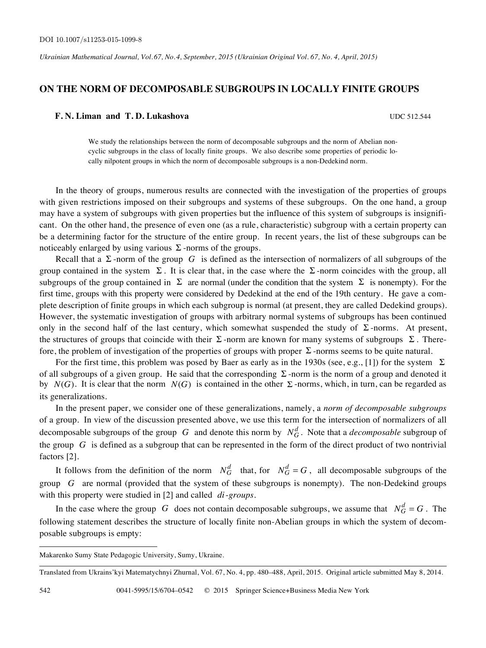*Ukrainian Mathematical Journal, Vol. 67, No. 4, September, 2015 (Ukrainian Original Vol. 67, No. 4, April, 2015)*

## **ON THE NORM OF DECOMPOSABLE SUBGROUPS IN LOCALLY FINITE GROUPS**

## **F. N. Liman and T. D. Lukashova** UDC 512.544

We study the relationships between the norm of decomposable subgroups and the norm of Abelian noncyclic subgroups in the class of locally finite groups. We also describe some properties of periodic locally nilpotent groups in which the norm of decomposable subgroups is a non-Dedekind norm.

In the theory of groups, numerous results are connected with the investigation of the properties of groups with given restrictions imposed on their subgroups and systems of these subgroups. On the one hand, a group may have a system of subgroups with given properties but the influence of this system of subgroups is insignificant. On the other hand, the presence of even one (as a rule, characteristic) subgroup with a certain property can be a determining factor for the structure of the entire group. In recent years, the list of these subgroups can be noticeably enlarged by using various Σ -norms of the groups.

Recall that a  $\Sigma$ -norm of the group *G* is defined as the intersection of normalizers of all subgroups of the group contained in the system  $\Sigma$ . It is clear that, in the case where the  $\Sigma$ -norm coincides with the group, all subgroups of the group contained in  $\Sigma$  are normal (under the condition that the system  $\Sigma$  is nonempty). For the first time, groups with this property were considered by Dedekind at the end of the 19th century. He gave a complete description of finite groups in which each subgroup is normal (at present, they are called Dedekind groups). However, the systematic investigation of groups with arbitrary normal systems of subgroups has been continued only in the second half of the last century, which somewhat suspended the study of  $\Sigma$ -norms. At present, the structures of groups that coincide with their  $\Sigma$ -norm are known for many systems of subgroups  $\Sigma$ . Therefore, the problem of investigation of the properties of groups with proper  $\Sigma$ -norms seems to be quite natural.

For the first time, this problem was posed by Baer as early as in the 1930s (see, e.g., [1]) for the system  $\Sigma$ of all subgroups of a given group. He said that the corresponding  $\Sigma$ -norm is the norm of a group and denoted it by  $N(G)$ . It is clear that the norm  $N(G)$  is contained in the other  $\Sigma$ -norms, which, in turn, can be regarded as its generalizations.

In the present paper, we consider one of these generalizations, namely, a *norm of decomposable subgroups*  of a group. In view of the discussion presented above, we use this term for the intersection of normalizers of all decomposable subgroups of the group *G* and denote this norm by  $N_G^d$ . Note that a *decomposable* subgroup of the group *G* is defined as a subgroup that can be represented in the form of the direct product of two nontrivial factors [2].

It follows from the definition of the norm  $N_G^d$  that, for  $N_G^d = G$ , all decomposable subgroups of the group *G* are normal (provided that the system of these subgroups is nonempty). The non-Dedekind groups with this property were studied in [2] and called *di*-*groups.* 

In the case where the group *G* does not contain decomposable subgroups, we assume that  $N_G^d = G$ . The following statement describes the structure of locally finite non-Abelian groups in which the system of decomposable subgroups is empty:

**.** 

Makarenko Sumy State Pedagogic University, Sumy, Ukraine.

Translated from Ukrains'kyi Matematychnyi Zhurnal, Vol. 67, No. 4, pp. 480–488, April, 2015. Original article submitted May 8, 2014.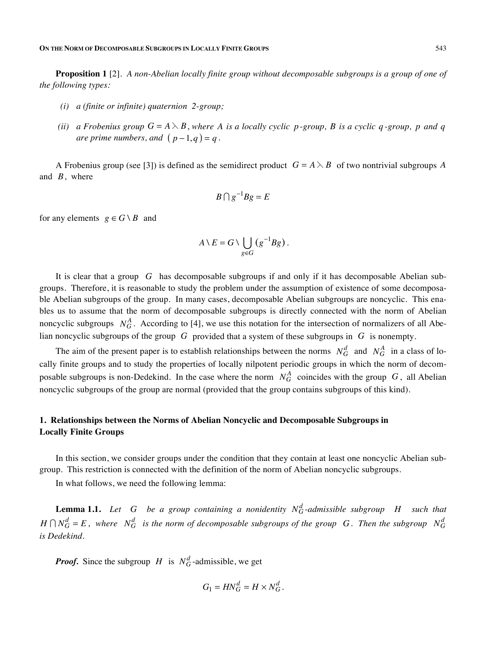**Proposition 1** [2]. *A non-Abelian locally finite group without decomposable subgroups is a group of one of the following types:*

- *(i) a (finite or infinite) quaternion 2-group;*
- *(ii)* a Frobenius group  $G = A \setminus B$ , where A is a locally cyclic p-group, B is a cyclic q-group, p and q *are prime numbers, and*  $(p-1,q) = q$ .

A Frobenius group (see [3]) is defined as the semidirect product  $G = A \setminus B$  of two nontrivial subgroups A and *B*,where

$$
B \cap g^{-1} B g = E
$$

for any elements  $g \in G \setminus B$  and

$$
A\setminus E=G\setminus \bigcup_{g\in G} (g^{-1}Bg).
$$

It is clear that a group *G* has decomposable subgroups if and only if it has decomposable Abelian subgroups. Therefore, it is reasonable to study the problem under the assumption of existence of some decomposable Abelian subgroups of the group. In many cases, decomposable Abelian subgroups are noncyclic. This enables us to assume that the norm of decomposable subgroups is directly connected with the norm of Abelian noncyclic subgroups  $N_G^A$ . According to [4], we use this notation for the intersection of normalizers of all Abelian noncyclic subgroups of the group *G* provided that a system of these subgroups in *G* is nonempty.

The aim of the present paper is to establish relationships between the norms  $N_G^d$  and  $N_G^A$  in a class of locally finite groups and to study the properties of locally nilpotent periodic groups in which the norm of decomposable subgroups is non-Dedekind. In the case where the norm  $N_G^A$  coincides with the group *G*, all Abelian noncyclic subgroups of the group are normal (provided that the group contains subgroups of this kind).

# **1. Relationships between the Norms of Abelian Noncyclic and Decomposable Subgroups in Locally Finite Groups**

In this section, we consider groups under the condition that they contain at least one noncyclic Abelian subgroup. This restriction is connected with the definition of the norm of Abelian noncyclic subgroups.

In what follows, we need the following lemma:

**Lemma 1.1.** Let G be a group containing a nonidentity  $N_G^d$ -admissible subgroup  $H$  such that  $H \cap N_G^d = E$ , where  $N_G^d$  is the norm of decomposable subgroups of the group G. Then the subgroup  $N_G^d$ *is Dedekind.* 

*Proof.* Since the subgroup *H* is  $N_G^d$ -admissible, we get

$$
G_1 = H N_G^d = H \times N_G^d.
$$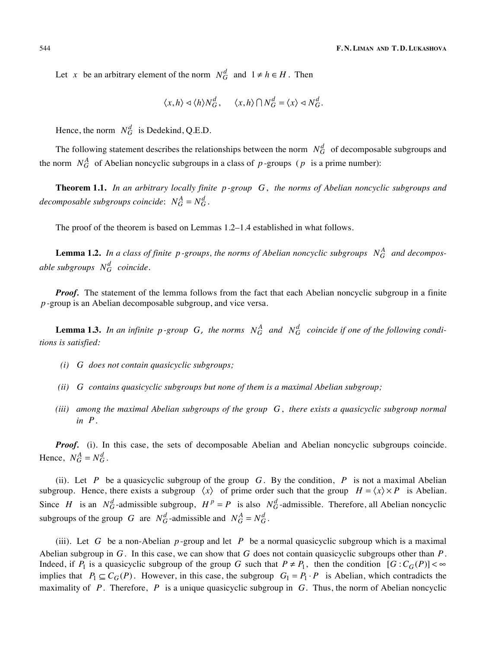Let *x* be an arbitrary element of the norm  $N_G^d$  and  $1 \neq h \in H$ . Then

$$
\langle x, h \rangle \lhd \langle h \rangle N_G^d, \quad \langle x, h \rangle \cap N_G^d = \langle x \rangle \lhd N_G^d.
$$

Hence, the norm  $N_G^d$  is Dedekind, Q.E.D.

The following statement describes the relationships between the norm  $N_G^d$  of decomposable subgroups and the norm  $N_G^A$  of Abelian noncyclic subgroups in a class of  $p$ -groups ( $p$  is a prime number):

**Theorem 1.1.** *In an arbitrary locally finite p -group G*, *the norms of Abelian noncyclic subgroups and decomposable subgroups coincide:*  $N_G^A = N_G^d$ .

The proof of the theorem is based on Lemmas 1.2–1.4 established in what follows.

**Lemma 1.2.** In a class of finite  $p$ -groups, the norms of Abelian noncyclic subgroups  $N_G^A$  and decompos*able subgroups*  $N_G^d$  *coincide.* 

**Proof.** The statement of the lemma follows from the fact that each Abelian noncyclic subgroup in a finite *p -*group is an Abelian decomposable subgroup, and vice versa.

**Lemma 1.3.** In an infinite p-group G, the norms  $N_G^A$  and  $N_G^d$  coincide if one of the following condi*tions is satisfied:* 

- *(i) G does not contain quasicyclic subgroups;*
- *(ii) G contains quasicyclic subgroups but none of them is a maximal Abelian subgroup;*
- *(iii) among the maximal Abelian subgroups of the group G*, *there exists a quasicyclic subgroup normal in P*.

Proof. (i). In this case, the sets of decomposable Abelian and Abelian noncyclic subgroups coincide. Hence,  $N_G^A = N_G^d$ .

(ii). Let *P* be a quasicyclic subgroup of the group *G*. By the condition, *P* is not a maximal Abelian subgroup. Hence, there exists a subgroup  $\langle x \rangle$  of prime order such that the group  $H = \langle x \rangle \times P$  is Abelian. Since *H* is an  $N_G^d$ -admissible subgroup,  $H^p = P$  is also  $N_G^d$ -admissible. Therefore, all Abelian noncyclic subgroups of the group *G* are  $N_G^d$ -admissible and  $N_G^A = N_G^d$ .

(iii). Let *G* be a non-Abelian  $p$ -group and let *P* be a normal quasicyclic subgroup which is a maximal Abelian subgroup in *G*. In this case, we can show that *G* does not contain quasicyclic subgroups other than *P*. Indeed, if  $P_1$  is a quasicyclic subgroup of the group *G* such that  $P \neq P_1$ , then the condition  $[G : C_G(P)] < \infty$ implies that  $P_1 \subseteq C_G(P)$ . However, in this case, the subgroup  $G_1 = P_1 \cdot P$  is Abelian, which contradicts the maximality of *P*. Therefore, *P* is a unique quasicyclic subgroup in *G.* Thus, the norm of Abelian noncyclic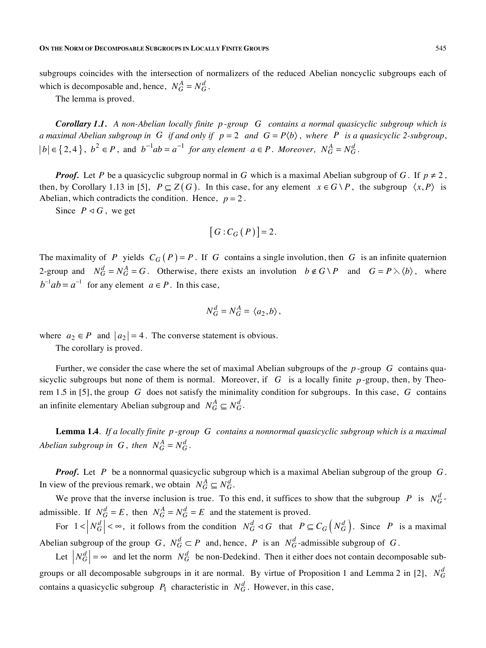subgroups coincides with the intersection of normalizers of the reduced Abelian noncyclic subgroups each of which is decomposable and, hence,  $N_G^A = N_G^d$ .

The lemma is proved.

*Corollary 1.1. A non-Abelian locally finite p* -*group G contains a normal quasicyclic subgroup which is a* maximal Abelian subgroup in G if and only if  $p = 2$  and  $G = P(b)$ , where P is a quasicyclic 2-subgroup, *b*  $|e|$  ∈ {2,4 },  $b^2$  ∈ *P*, and  $b^{-1}ab = a^{-1}$  *for any element a* ∈ *P*. Moreover,  $N_G^A = N_G^d$ .

*Proof.* Let *P* be a quasicyclic subgroup normal in *G* which is a maximal Abelian subgroup of *G*. If  $p \neq 2$ , then, by Corollary 1.13 in [5],  $P \subseteq Z(G)$ . In this case, for any element  $x \in G \backslash P$ , the subgroup  $\langle x, P \rangle$  is Abelian, which contradicts the condition. Hence,  $p = 2$ .

Since  $P \triangleleft G$ , we get

$$
[G:C_G(P)]=2.
$$

The maximality of *P* yields  $C_G(P) = P$ . If *G* contains a single involution, then *G* is an infinite quaternion 2-group and  $N_G^d = N_G^A = G$ . Otherwise, there exists an involution  $b \notin G \setminus P$  and  $G = P \setminus \langle b \rangle$ , where  $b^{-1}ab = a^{-1}$  for any element  $a \in P$ . In this case,

$$
N_G^d = N_G^A = \langle a_2, b \rangle,
$$

where  $a_2 \in P$  and  $|a_2| = 4$ . The converse statement is obvious.

The corollary is proved.

Further, we consider the case where the set of maximal Abelian subgroups of the *p* -group *G* contains quasicyclic subgroups but none of them is normal. Moreover, if  $G$  is a locally finite  $p$ -group, then, by Theorem 1.5 in [5], the group *G* does not satisfy the minimality condition for subgroups. In this case, *G* contains an infinite elementary Abelian subgroup and  $N_G^A \subseteq N_G^d$ .

**Lemma 1.4**. *If a locally finite p* -*group G contains a nonnormal quasicyclic subgroup which is a maximal Abelian subgroup in*  $G$ , *then*  $N_G^A = N_G^d$ .

*Proof.* Let *P* be a nonnormal quasicyclic subgroup which is a maximal Abelian subgroup of the group *G*. In view of the previous remark, we obtain  $N_G^A \subseteq N_G^d$ .

We prove that the inverse inclusion is true. To this end, it suffices to show that the subgroup *P* is  $N_G^d$ admissible. If  $N_G^d = E$ , then  $N_G^A = N_G^d = E$  and the statement is proved.

For  $1 < |N_G^d| < \infty$ , it follows from the condition  $N_G^d \lhd G$  that  $P \subseteq C_G \left(N_G^d\right)$ . Since P is a maximal Abelian subgroup of the group  $G$ ,  $N_G^d \subset P$  and, hence,  $P$  is an  $N_G^d$ -admissible subgroup of  $G$ .

Let  $|N_G^d| = \infty$  and let the norm  $N_G^d$  be non-Dedekind. Then it either does not contain decomposable subgroups or all decomposable subgroups in it are normal. By virtue of Proposition 1 and Lemma 2 in [2],  $N_G^d$ contains a quasicyclic subgroup  $P_1$  characteristic in  $N_G^d$ . However, in this case,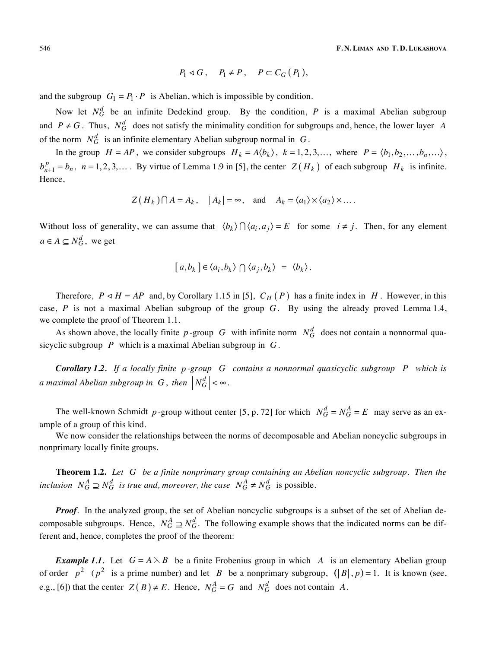546 **F. N. LIMAN AND T. D. LUKASHOVA**

$$
P_1 \triangleleft G, \quad P_1 \neq P \,, \quad P \subset C_G(P_1),
$$

and the subgroup  $G_1 = P_1 \cdot P$  is Abelian, which is impossible by condition.

Now let  $N_G^d$  be an infinite Dedekind group. By the condition,  $P$  is a maximal Abelian subgroup and  $P \neq G$ . Thus,  $N_G^d$  does not satisfy the minimality condition for subgroups and, hence, the lower layer *A* of the norm  $N_G^d$  is an infinite elementary Abelian subgroup normal in G.

In the group  $H = AP$ , we consider subgroups  $H_k = A \langle b_k \rangle$ ,  $k = 1, 2, 3, \dots$ , where  $P = \langle b_1, b_2, \dots, b_n, \dots \rangle$ ,  $b_{n+1}^p = b_n$ ,  $n = 1, 2, 3, \dots$ . By virtue of Lemma 1.9 in [5], the center  $Z(H_k)$  of each subgroup  $H_k$  is infinite. Hence,

$$
Z(H_k) \cap A = A_k
$$
,  $|A_k| = \infty$ , and  $A_k = \langle a_1 \rangle \times \langle a_2 \rangle \times \dots$ .

Without loss of generality, we can assume that  $\langle b_k \rangle \bigcap \langle a_i, a_j \rangle = E$  for some  $i \neq j$ . Then, for any element  $a \in A \subseteq N_G^d$ , we get

$$
[a,b_k] \in \langle a_i,b_k \rangle \cap \langle a_j,b_k \rangle = \langle b_k \rangle.
$$

Therefore,  $P \triangleleft H = AP$  and, by Corollary 1.15 in [5],  $C_H(P)$  has a finite index in *H*. However, in this case, *P* is not a maximal Abelian subgroup of the group *G*. By using the already proved Lemma 1.4, we complete the proof of Theorem 1.1.

As shown above, the locally finite *p* -group *G* with infinite norm  $N_G^d$  does not contain a nonnormal quasicyclic subgroup *P* which is a maximal Abelian subgroup in *G*.

*Corollary 1.2. If a locally finite p -group G contains a nonnormal quasicyclic subgroup P which is a* maximal Abelian subgroup in  $|G|$ , then  $|N_G^d| < \infty$ .

The well-known Schmidt *p*-group without center [5, p. 72] for which  $N_G^d = N_G^A = E$  may serve as an example of a group of this kind.

We now consider the relationships between the norms of decomposable and Abelian noncyclic subgroups in nonprimary locally finite groups.

**Theorem 1.2.** *Let G be a finite nonprimary group containing an Abelian noncyclic subgroup. Then the inclusion*  $N_G^A \supseteq N_G^d$  *is true and, moreover, the case*  $N_G^A \neq N_G^d$  *is possible.* 

*Proof.* In the analyzed group, the set of Abelian noncyclic subgroups is a subset of the set of Abelian decomposable subgroups. Hence,  $N_G^A \supseteq N_G^d$ . The following example shows that the indicated norms can be different and, hence, completes the proof of the theorem:

*Example 1.1.* Let  $G = A \setminus B$  be a finite Frobenius group in which A is an elementary Abelian group of order  $p^2$  ( $p^2$  is a prime number) and let *B* be a nonprimary subgroup,  $(|B|, p) = 1$ . It is known (see, e.g., [6]) that the center  $Z(B) \neq E$ . Hence,  $N_G^A = G$  and  $N_G^d$  does not contain *A*.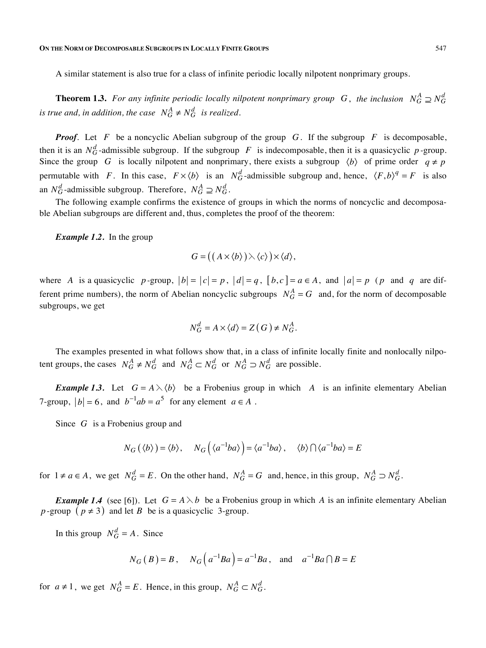### **ON THE NORM OF DECOMPOSABLE SUBGROUPS IN LOCALLY FINITE GROUPS** 547

A similar statement is also true for a class of infinite periodic locally nilpotent nonprimary groups.

**Theorem 1.3.** For any infinite periodic locally nilpotent nonprimary group G, the inclusion  $N_G^A \supseteq N_G^d$ *is true and, in addition, the case*  $N_G^A \neq N_G^d$  *is realized.* 

*Proof.* Let *F* be a noncyclic Abelian subgroup of the group *G*. If the subgroup *F* is decomposable, then it is an  $N_G^d$ -admissible subgroup. If the subgroup *F* is indecomposable, then it is a quasicyclic *p*-group. Since the group *G* is locally nilpotent and nonprimary, there exists a subgroup  $\langle b \rangle$  of prime order  $q \neq p$ permutable with *F*. In this case,  $F \times \langle b \rangle$  is an  $N_G^d$ -admissible subgroup and, hence,  $\langle F, b \rangle^q = F$  is also an  $N_G^d$ -admissible subgroup. Therefore,  $N_G^A \supseteq N_G^d$ .

The following example confirms the existence of groups in which the norms of noncyclic and decomposable Abelian subgroups are different and, thus, completes the proof of the theorem:

*Example 1.2.* In the group

$$
G = ((A \times \langle b \rangle) \rangle \langle c \rangle) \times \langle d \rangle,
$$

where *A* is a quasicyclic *p* -group,  $|b| = |c| = p$ ,  $|d| = q$ ,  $|b, c| = a \in A$ , and  $|a| = p$  (*p* and *q* are different prime numbers), the norm of Abelian noncyclic subgroups  $N_G^A = G$  and, for the norm of decomposable subgroups, we get

$$
N_G^d = A \times \langle d \rangle = Z(G) \neq N_G^A.
$$

The examples presented in what follows show that, in a class of infinite locally finite and nonlocally nilpotent groups, the cases  $N_G^A \neq N_G^d$  and  $N_G^A \subset N_G^d$  or  $N_G^A \supset N_G^d$  are possible.

*Example* 1.3. Let  $G = A \setminus \langle b \rangle$  be a Frobenius group in which *A* is an infinite elementary Abelian 7-group,  $|b| = 6$ , and  $b^{-1}ab = a^5$  for any element  $a \in A$ .

Since *G* is a Frobenius group and

$$
N_G(\langle b \rangle) = \langle b \rangle, \quad N_G(\langle a^{-1}ba \rangle) = \langle a^{-1}ba \rangle, \quad \langle b \rangle \cap \langle a^{-1}ba \rangle = E
$$

for  $1 \neq a \in A$ , we get  $N_G^d = E$ . On the other hand,  $N_G^A = G$  and, hence, in this group,  $N_G^A \supset N_G^d$ .

*Example* 1.4 (see [6]). Let  $G = A \lambda b$  be a Frobenius group in which *A* is an infinite elementary Abelian *p* -group ( $p \neq 3$ ) and let *B* be is a quasicyclic 3-group.

In this group  $N_G^d = A$ . Since

$$
N_G(B) = B
$$
,  $N_G(a^{-1}Ba) = a^{-1}Ba$ , and  $a^{-1}Ba \cap B = E$ 

for  $a \neq 1$ , we get  $N_G^A = E$ . Hence, in this group,  $N_G^A \subset N_G^d$ .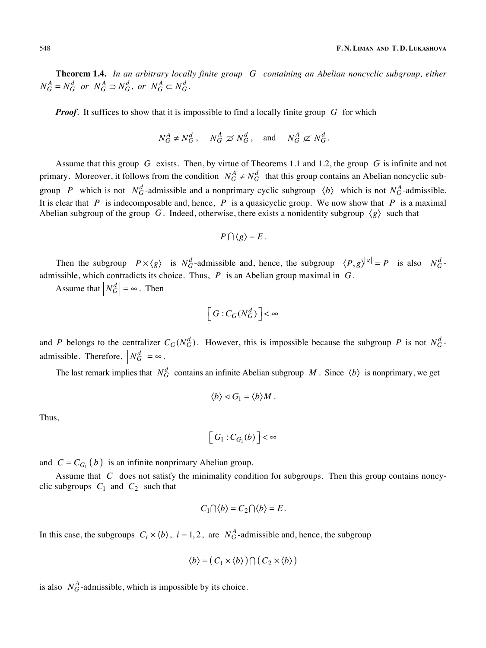**Theorem 1.4.** *In an arbitrary locally finite group G containing an Abelian noncyclic subgroup, either*   $N_G^A = N_G^d$  or  $N_G^A \supset N_G^d$ , or  $N_G^A \subset N_G^d$ .

*Proof.* It suffices to show that it is impossible to find a locally finite group *G* for which

$$
N_G^A \neq N_G^d
$$
,  $N_G^A \geq N_G^d$ , and  $N_G^A \not\subset N_G^d$ .

Assume that this group *G* exists. Then, by virtue of Theorems 1.1 and 1.2, the group *G* is infinite and not primary. Moreover, it follows from the condition  $N_G^A \neq N_G^d$  that this group contains an Abelian noncyclic subgroup *P* which is not  $N_G^d$ -admissible and a nonprimary cyclic subgroup  $\langle b \rangle$  which is not  $N_G^A$ -admissible. It is clear that *P* is indecomposable and, hence, *P* is a quasicyclic group. We now show that *P* is a maximal Abelian subgroup of the group *G*. Indeed, otherwise, there exists a nonidentity subgroup  $\langle g \rangle$  such that

$$
P\cap\langle g\rangle = E.
$$

Then the subgroup  $P \times \langle g \rangle$  is  $N_G^d$ -admissible and, hence, the subgroup  $\langle P, g \rangle^{|g|} = P$  is also  $N_G^d$ admissible, which contradicts its choice. Thus, *P* is an Abelian group maximal in *G*.

Assume that  $\left| N_G^d \right| = \infty$ . Then

$$
\left[\,G:C_G(N_G^d)\,\right]\,<\infty
$$

and *P* belongs to the centralizer  $C_G(N_G^d)$ . However, this is impossible because the subgroup *P* is not  $N_G^d$ . admissible. Therefore,  $N_G^d$  =  $\infty$ .

The last remark implies that  $N_G^d$  contains an infinite Abelian subgroup M . Since  $\langle b \rangle$  is nonprimary, we get

$$
\langle b \rangle \triangleleft G_1 = \langle b \rangle M \, .
$$

Thus,

$$
\left[ G_1 : C_{G_1}(b) \right] < \infty
$$

and  $C = C_{G_1}(b)$  is an infinite nonprimary Abelian group.

Assume that *C* does not satisfy the minimality condition for subgroups. Then this group contains noncyclic subgroups  $C_1$  and  $C_2$  such that

$$
C_1 \cap \langle b \rangle = C_2 \cap \langle b \rangle = E.
$$

In this case, the subgroups  $C_i \times \langle b \rangle$ ,  $i = 1, 2$ , are  $N_G^A$ -admissible and, hence, the subgroup

$$
\langle b \rangle = (C_1 \times \langle b \rangle) \cap (C_2 \times \langle b \rangle)
$$

is also  $N_G^A$ -admissible, which is impossible by its choice.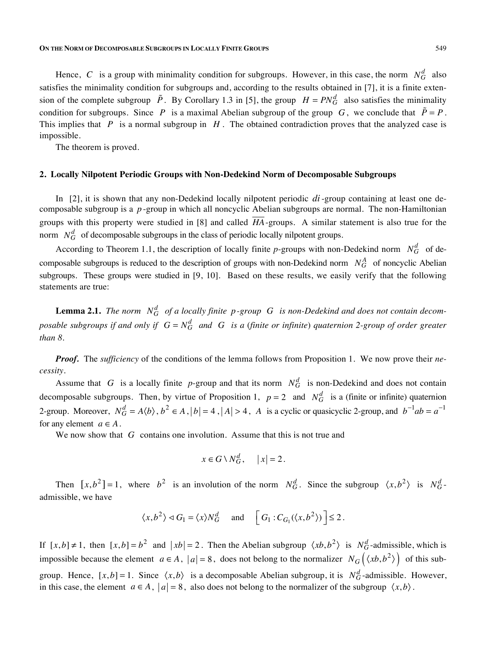**ON THE NORM OF DECOMPOSABLE SUBGROUPS IN LOCALLY FINITE GROUPS** 549

Hence, *C* is a group with minimality condition for subgroups. However, in this case, the norm  $N_G^d$  also satisfies the minimality condition for subgroups and, according to the results obtained in [7], it is a finite extension of the complete subgroup  $\tilde{P}$ . By Corollary 1.3 in [5], the group  $H = PN_G^d$  also satisfies the minimality condition for subgroups. Since *P* is a maximal Abelian subgroup of the group *G*, we conclude that  $\tilde{P} = P$ . This implies that *P* is a normal subgroup in *H* . The obtained contradiction proves that the analyzed case is impossible.

The theorem is proved.

## **2. Locally Nilpotent Periodic Groups with Non-Dedekind Norm of Decomposable Subgroups**

In [2], it is shown that any non-Dedekind locally nilpotent periodic *di* -group containing at least one decomposable subgroup is a *p* -group in which all noncyclic Abelian subgroups are normal. The non-Hamiltonian groups with this property were studied in [8] and called  $\overline{HA}$ -groups. A similar statement is also true for the norm  $N_G^d$  of decomposable subgroups in the class of periodic locally nilpotent groups.

According to Theorem 1.1, the description of locally finite *p*-groups with non-Dedekind norm  $N_G^d$  of decomposable subgroups is reduced to the description of groups with non-Dedekind norm  $N_G^A$  of noncyclic Abelian subgroups. These groups were studied in [9, 10]. Based on these results, we easily verify that the following statements are true:

**Lemma 2.1.** The norm  $N_G^d$  of a locally finite  $p$ -group G is non-Dedekind and does not contain decom*posable subgroups if and only if*  $G = N_G^d$  *and*  $G$  *is a (finite or infinite) quaternion 2-group of order greater than 8.* 

*Proof.* The *sufficiency* of the conditions of the lemma follows from Proposition 1. We now prove their *necessity.*

Assume that *G* is a locally finite *p*-group and that its norm  $N_G^d$  is non-Dedekind and does not contain decomposable subgroups. Then, by virtue of Proposition 1,  $p = 2$  and  $N_G^d$  is a (finite or infinite) quaternion 2-group. Moreover,  $N_G^d = A \langle b \rangle$ ,  $b^2 \in A$ ,  $|b| = 4$ ,  $|A| > 4$ , A is a cyclic or quasicyclic 2-group, and  $b^{-1}ab = a^{-1}$ for any element  $a \in A$ .

We now show that *G* contains one involution. Assume that this is not true and

$$
x \in G \setminus N_G^d, \quad |x| = 2.
$$

Then  $[x, b^2] = 1$ , where  $b^2$  is an involution of the norm  $N_G^d$ . Since the subgroup  $\langle x, b^2 \rangle$  is  $N_G^d$ . admissible, we have

$$
\langle x, b^2 \rangle \triangleleft G_1 = \langle x \rangle N_G^d
$$
 and  $\left[ G_1 : C_{G_1}(\langle x, b^2 \rangle) \right] \le 2$ .

If  $[x, b] \neq 1$ , then  $[x, b] = b^2$  and  $|xb| = 2$ . Then the Abelian subgroup  $\langle xb, b^2 \rangle$  is  $N_G^d$ -admissible, which is impossible because the element  $a \in A$ ,  $|a| = 8$ , does not belong to the normalizer  $N_G(\langle xb, b^2 \rangle)$  of this subgroup. Hence,  $[x,b] = 1$ . Since  $\langle x,b \rangle$  is a decomposable Abelian subgroup, it is  $N_G^d$ -admissible. However, in this case, the element  $a \in A$ ,  $|a| = 8$ , also does not belong to the normalizer of the subgroup  $\langle x, b \rangle$ .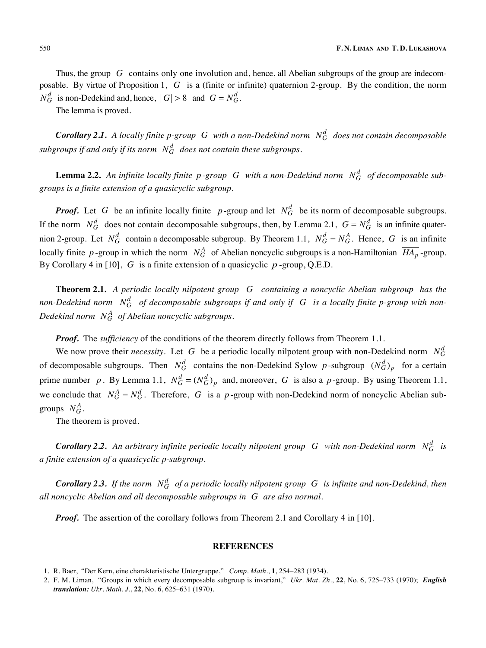Thus, the group *G* contains only one involution and, hence, all Abelian subgroups of the group are indecomposable. By virtue of Proposition 1, *G* is a (finite or infinite) quaternion 2-group. By the condition, the norm  $N_G^d$  is non-Dedekind and, hence,  $|G| > 8$  and  $G = N_G^d$ .

The lemma is proved.

*Corollary* **2.1.** A locally finite  $p$ -group G with a non-Dedekind norm  $N_G^d$  does not contain decomposable subgroups if and only if its norm  $N_G^d$  does not contain these subgroups.

**Lemma 2.2.** An infinite locally finite  $p$ -group  $G$  with a non-Dedekind norm  $N_G^d$  of decomposable sub*groups is a finite extension of a quasicyclic subgroup.* 

*Proof.* Let *G* be an infinite locally finite *p*-group and let  $N_G^d$  be its norm of decomposable subgroups. If the norm  $N_G^d$  does not contain decomposable subgroups, then, by Lemma 2.1,  $G = N_G^d$  is an infinite quaternion 2-group. Let  $N_G^d$  contain a decomposable subgroup. By Theorem 1.1,  $N_G^d = N_G^A$ . Hence, G is an infinite locally finite p-group in which the norm  $N_G^A$  of Abelian noncyclic subgroups is a non-Hamiltonian  $\overline{HA_p}$ -group. By Corollary 4 in [10], *G* is a finite extension of a quasicyclic *p* -group, Q.E.D.

**Theorem 2.1.** *A periodic locally nilpotent group G containing a noncyclic Abelian subgroup has the non-Dedekind norm*  $N_G^d$  *of decomposable subgroups if and only if*  $G$  *is a locally finite p-group with non-*Dedekind norm  $N_G^A$  of Abelian noncyclic subgroups.

*Proof.* The *sufficiency* of the conditions of the theorem directly follows from Theorem 1.1.

We now prove their *necessity*. Let G be a periodic locally nilpotent group with non-Dedekind norm  $N_G^d$ of decomposable subgroups. Then  $N_G^d$  contains the non-Dedekind Sylow p-subgroup  $(N_G^d)_p$  for a certain prime number *p*. By Lemma 1.1,  $N_G^d = (N_G^d)_p$  and, moreover, *G* is also a *p*-group. By using Theorem 1.1, we conclude that  $N_G^A = N_G^d$ . Therefore, G is a p-group with non-Dedekind norm of noncyclic Abelian subgroups  $N_G^A$ .

The theorem is proved.

*Corollary* 2.2. An arbitrary infinite periodic locally nilpotent group G with non-Dedekind norm  $N_G^d$  is *a finite extension of a quasicyclic р-subgroup.* 

*Corollary* **2.3.** If the norm  $N_G^d$  of a periodic locally nilpotent group G is infinite and non-Dedekind, then *all noncyclic Abelian and all decomposable subgroups in G are also normal.* 

*Proof.* The assertion of the corollary follows from Theorem 2.1 and Corollary 4 in [10].

### **REFERENCES**

<sup>1.</sup> R. Baer, "Der Kern, eine charakteristische Untergruppe," *Comp. Math*., **1**, 254–283 (1934).

<sup>2.</sup> F. M. Liman, "Groups in which every decomposable subgroup is invariant," *Ukr. Mat. Zh*., **22**, No. 6, 725–733 (1970); *English translation: Ukr. Math. J*., **22**, No. 6, 625–631 (1970).